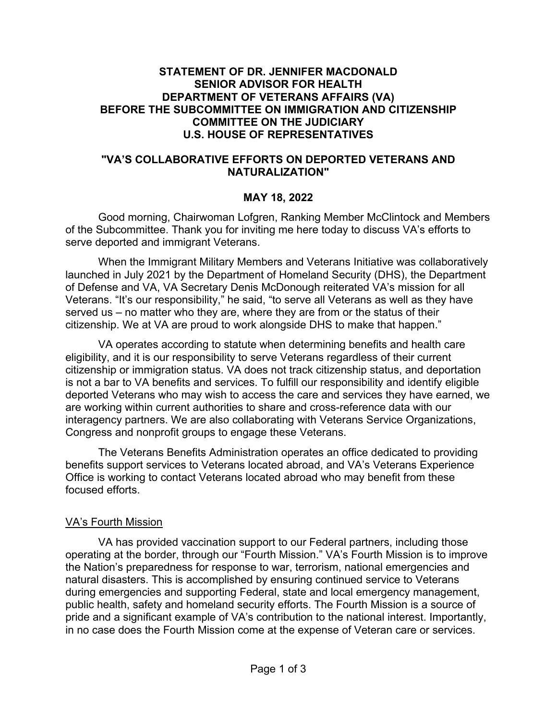#### **STATEMENT OF DR. JENNIFER MACDONALD SENIOR ADVISOR FOR HEALTH DEPARTMENT OF VETERANS AFFAIRS (VA) BEFORE THE SUBCOMMITTEE ON IMMIGRATION AND CITIZENSHIP COMMITTEE ON THE JUDICIARY U.S. HOUSE OF REPRESENTATIVES**

#### **"VA'S COLLABORATIVE EFFORTS ON DEPORTED VETERANS AND NATURALIZATION"**

### **MAY 18, 2022**

Good morning, Chairwoman Lofgren, Ranking Member McClintock and Members of the Subcommittee. Thank you for inviting me here today to discuss VA's efforts to serve deported and immigrant Veterans.

When the Immigrant Military Members and Veterans Initiative was collaboratively launched in July 2021 by the Department of Homeland Security (DHS), the Department of Defense and VA, VA Secretary Denis McDonough reiterated VA's mission for all Veterans. "It's our responsibility," he said, "to serve all Veterans as well as they have served us – no matter who they are, where they are from or the status of their citizenship. We at VA are proud to work alongside DHS to make that happen."

VA operates according to statute when determining benefits and health care eligibility, and it is our responsibility to serve Veterans regardless of their current citizenship or immigration status. VA does not track citizenship status, and deportation is not a bar to VA benefits and services. To fulfill our responsibility and identify eligible deported Veterans who may wish to access the care and services they have earned, we are working within current authorities to share and cross-reference data with our interagency partners. We are also collaborating with Veterans Service Organizations, Congress and nonprofit groups to engage these Veterans.

The Veterans Benefits Administration operates an office dedicated to providing benefits support services to Veterans located abroad, and VA's Veterans Experience Office is working to contact Veterans located abroad who may benefit from these focused efforts.

## VA's Fourth Mission

VA has provided vaccination support to our Federal partners, including those operating at the border, through our "Fourth Mission." VA's Fourth Mission is to improve the Nation's preparedness for response to war, terrorism, national emergencies and natural disasters. This is accomplished by ensuring continued service to Veterans during emergencies and supporting Federal, state and local emergency management, public health, safety and homeland security efforts. The Fourth Mission is a source of pride and a significant example of VA's contribution to the national interest. Importantly, in no case does the Fourth Mission come at the expense of Veteran care or services.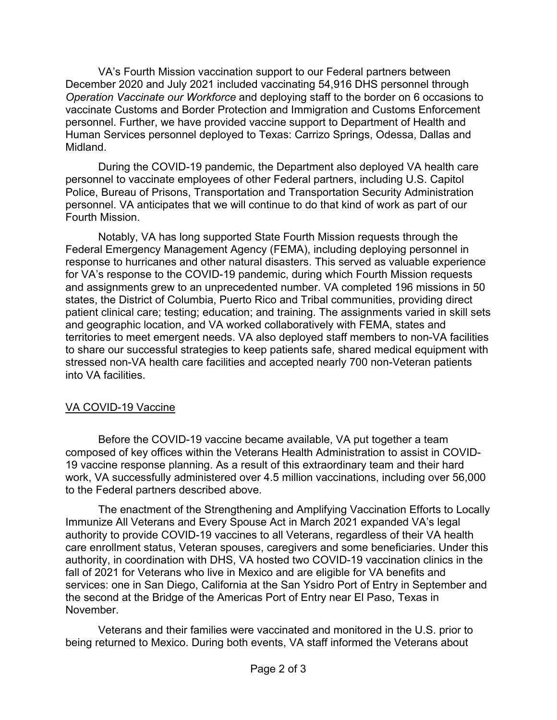VA's Fourth Mission vaccination support to our Federal partners between December 2020 and July 2021 included vaccinating 54,916 DHS personnel through *Operation Vaccinate our Workforce* and deploying staff to the border on 6 occasions to vaccinate Customs and Border Protection and Immigration and Customs Enforcement personnel. Further, we have provided vaccine support to Department of Health and Human Services personnel deployed to Texas: Carrizo Springs, Odessa, Dallas and Midland.

During the COVID-19 pandemic, the Department also deployed VA health care personnel to vaccinate employees of other Federal partners, including U.S. Capitol Police, Bureau of Prisons, Transportation and Transportation Security Administration personnel. VA anticipates that we will continue to do that kind of work as part of our Fourth Mission.

Notably, VA has long supported State Fourth Mission requests through the Federal Emergency Management Agency (FEMA), including deploying personnel in response to hurricanes and other natural disasters. This served as valuable experience for VA's response to the COVID-19 pandemic, during which Fourth Mission requests and assignments grew to an unprecedented number. VA completed 196 missions in 50 states, the District of Columbia, Puerto Rico and Tribal communities, providing direct patient clinical care; testing; education; and training. The assignments varied in skill sets and geographic location, and VA worked collaboratively with FEMA, states and territories to meet emergent needs. VA also deployed staff members to non-VA facilities to share our successful strategies to keep patients safe, shared medical equipment with stressed non-VA health care facilities and accepted nearly 700 non-Veteran patients into VA facilities.

## VA COVID-19 Vaccine

Before the COVID-19 vaccine became available, VA put together a team composed of key offices within the Veterans Health Administration to assist in COVID-19 vaccine response planning. As a result of this extraordinary team and their hard work, VA successfully administered over 4.5 million vaccinations, including over 56,000 to the Federal partners described above.

The enactment of the Strengthening and Amplifying Vaccination Efforts to Locally Immunize All Veterans and Every Spouse Act in March 2021 expanded VA's legal authority to provide COVID-19 vaccines to all Veterans, regardless of their VA health care enrollment status, Veteran spouses, caregivers and some beneficiaries. Under this authority, in coordination with DHS, VA hosted two COVID-19 vaccination clinics in the fall of 2021 for Veterans who live in Mexico and are eligible for VA benefits and services: one in San Diego, California at the San Ysidro Port of Entry in September and the second at the Bridge of the Americas Port of Entry near El Paso, Texas in November.

Veterans and their families were vaccinated and monitored in the U.S. prior to being returned to Mexico. During both events, VA staff informed the Veterans about